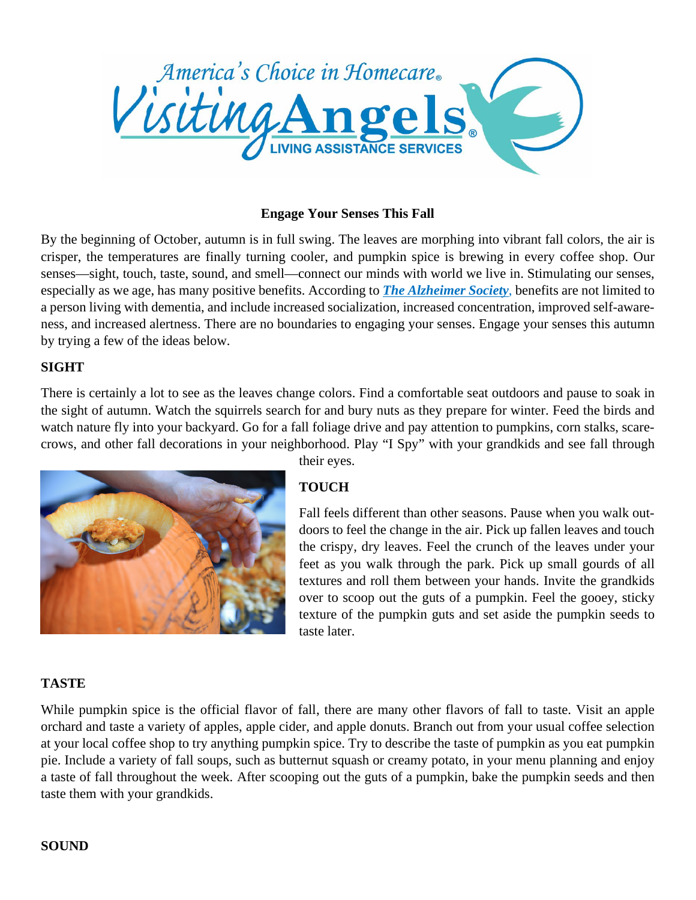

### **Engage Your Senses This Fall**

By the beginning of October, autumn is in full swing. The leaves are morphing into vibrant fall colors, the air is crisper, the temperatures are finally turning cooler, and pumpkin spice is brewing in every coffee shop. Our senses—sight, touch, taste, sound, and smell—connect our minds with world we live in. Stimulating our senses, especially as we age, has many positive benefits. According to *The [Alzheimer](http://www.alzheimer.mb.ca/factsheets/Leisure%2520series/SENSORY%2520STIMULATION.doc) Society*, benefits are not limited to a person living with dementia, and include increased socialization, increased concentration, improved self-awareness, and increased alertness. There are no boundaries to engaging your senses. Engage your senses this autumn by trying a few of the ideas below.

#### **SIGHT**

There is certainly a lot to see as the leaves change colors. Find a comfortable seat outdoors and pause to soak in the sight of autumn. Watch the squirrels search for and bury nuts as they prepare for winter. Feed the birds and watch nature fly into your backyard. Go for a fall foliage drive and pay attention to pumpkins, corn stalks, scarecrows, and other fall decorations in your neighborhood. Play "I Spy" with your grandkids and see fall through



their eyes.

# **TOUCH**

Fall feels different than other seasons. Pause when you walk outdoors to feel the change in the air. Pick up fallen leaves and touch the crispy, dry leaves. Feel the crunch of the leaves under your feet as you walk through the park. Pick up small gourds of all textures and roll them between your hands. Invite the grandkids over to scoop out the guts of a pumpkin. Feel the gooey, sticky texture of the pumpkin guts and set aside the pumpkin seeds to taste later.

### **TASTE**

While pumpkin spice is the official flavor of fall, there are many other flavors of fall to taste. Visit an apple orchard and taste a variety of apples, apple cider, and apple donuts. Branch out from your usual coffee selection at your local coffee shop to try anything pumpkin spice. Try to describe the taste of pumpkin as you eat pumpkin pie. Include a variety of fall soups, such as butternut squash or creamy potato, in your menu planning and enjoy a taste of fall throughout the week. After scooping out the guts of a pumpkin, bake the pumpkin seeds and then taste them with your grandkids.